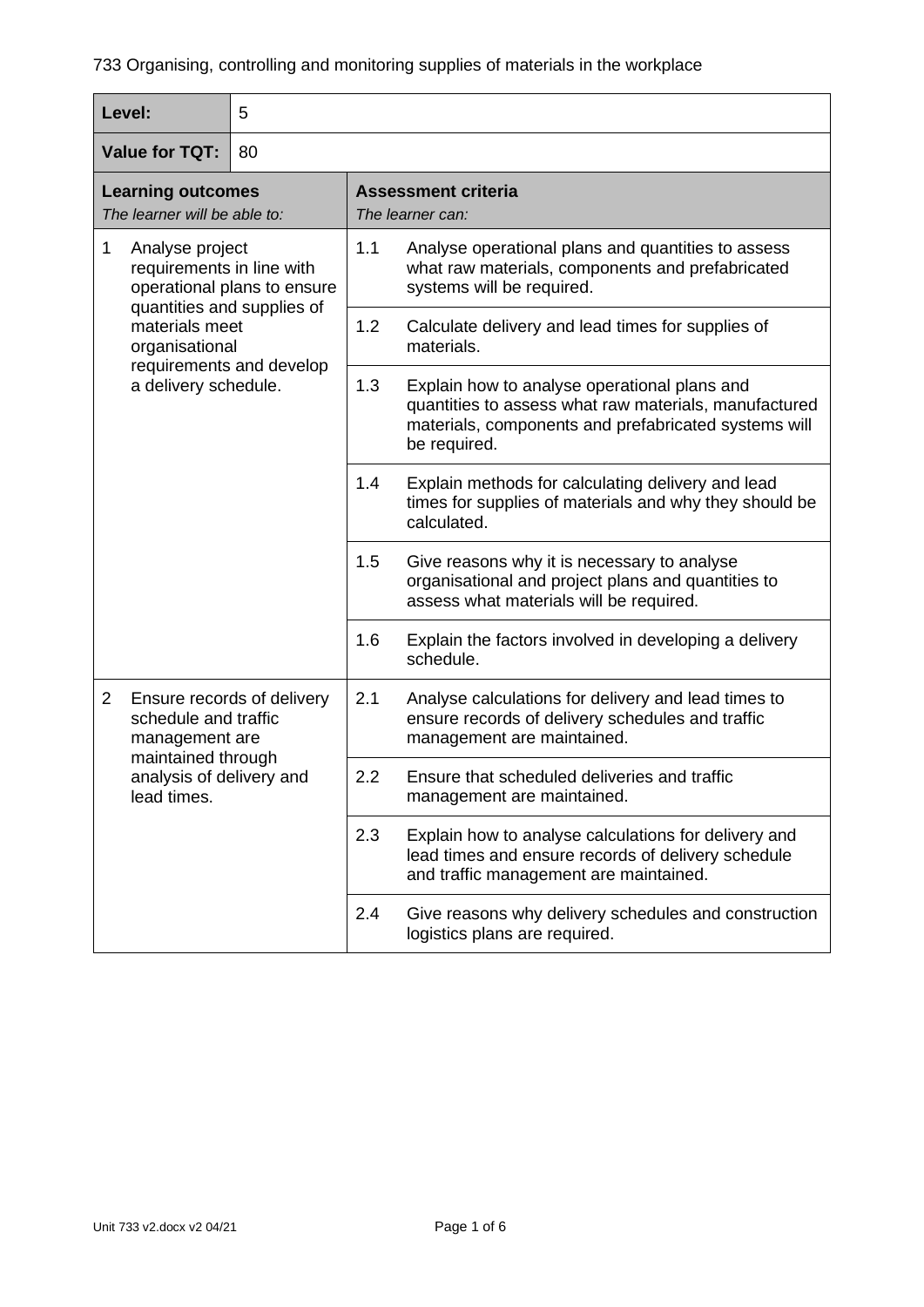| Level:                                                                                                                                                                                                 | 5                                                |     |                                                                                                                                                                               |  |  |
|--------------------------------------------------------------------------------------------------------------------------------------------------------------------------------------------------------|--------------------------------------------------|-----|-------------------------------------------------------------------------------------------------------------------------------------------------------------------------------|--|--|
| <b>Value for TQT:</b><br>80                                                                                                                                                                            |                                                  |     |                                                                                                                                                                               |  |  |
| <b>Learning outcomes</b><br>The learner will be able to:                                                                                                                                               |                                                  |     | <b>Assessment criteria</b><br>The learner can:                                                                                                                                |  |  |
| 1<br>Analyse project<br>requirements in line with<br>operational plans to ensure<br>quantities and supplies of<br>materials meet<br>organisational<br>requirements and develop<br>a delivery schedule. |                                                  | 1.1 | Analyse operational plans and quantities to assess<br>what raw materials, components and prefabricated<br>systems will be required.                                           |  |  |
|                                                                                                                                                                                                        |                                                  | 1.2 | Calculate delivery and lead times for supplies of<br>materials.                                                                                                               |  |  |
|                                                                                                                                                                                                        |                                                  | 1.3 | Explain how to analyse operational plans and<br>quantities to assess what raw materials, manufactured<br>materials, components and prefabricated systems will<br>be required. |  |  |
|                                                                                                                                                                                                        |                                                  | 1.4 | Explain methods for calculating delivery and lead<br>times for supplies of materials and why they should be<br>calculated.                                                    |  |  |
|                                                                                                                                                                                                        |                                                  | 1.5 | Give reasons why it is necessary to analyse<br>organisational and project plans and quantities to<br>assess what materials will be required.                                  |  |  |
|                                                                                                                                                                                                        |                                                  | 1.6 | Explain the factors involved in developing a delivery<br>schedule.                                                                                                            |  |  |
| $\overline{2}$<br>schedule and traffic<br>management are                                                                                                                                               | Ensure records of delivery<br>maintained through | 2.1 | Analyse calculations for delivery and lead times to<br>ensure records of delivery schedules and traffic<br>management are maintained.                                         |  |  |
| analysis of delivery and<br>lead times.                                                                                                                                                                |                                                  | 2.2 | Ensure that scheduled deliveries and traffic<br>management are maintained.                                                                                                    |  |  |
|                                                                                                                                                                                                        |                                                  | 2.3 | Explain how to analyse calculations for delivery and<br>lead times and ensure records of delivery schedule<br>and traffic management are maintained.                          |  |  |
|                                                                                                                                                                                                        |                                                  | 2.4 | Give reasons why delivery schedules and construction<br>logistics plans are required.                                                                                         |  |  |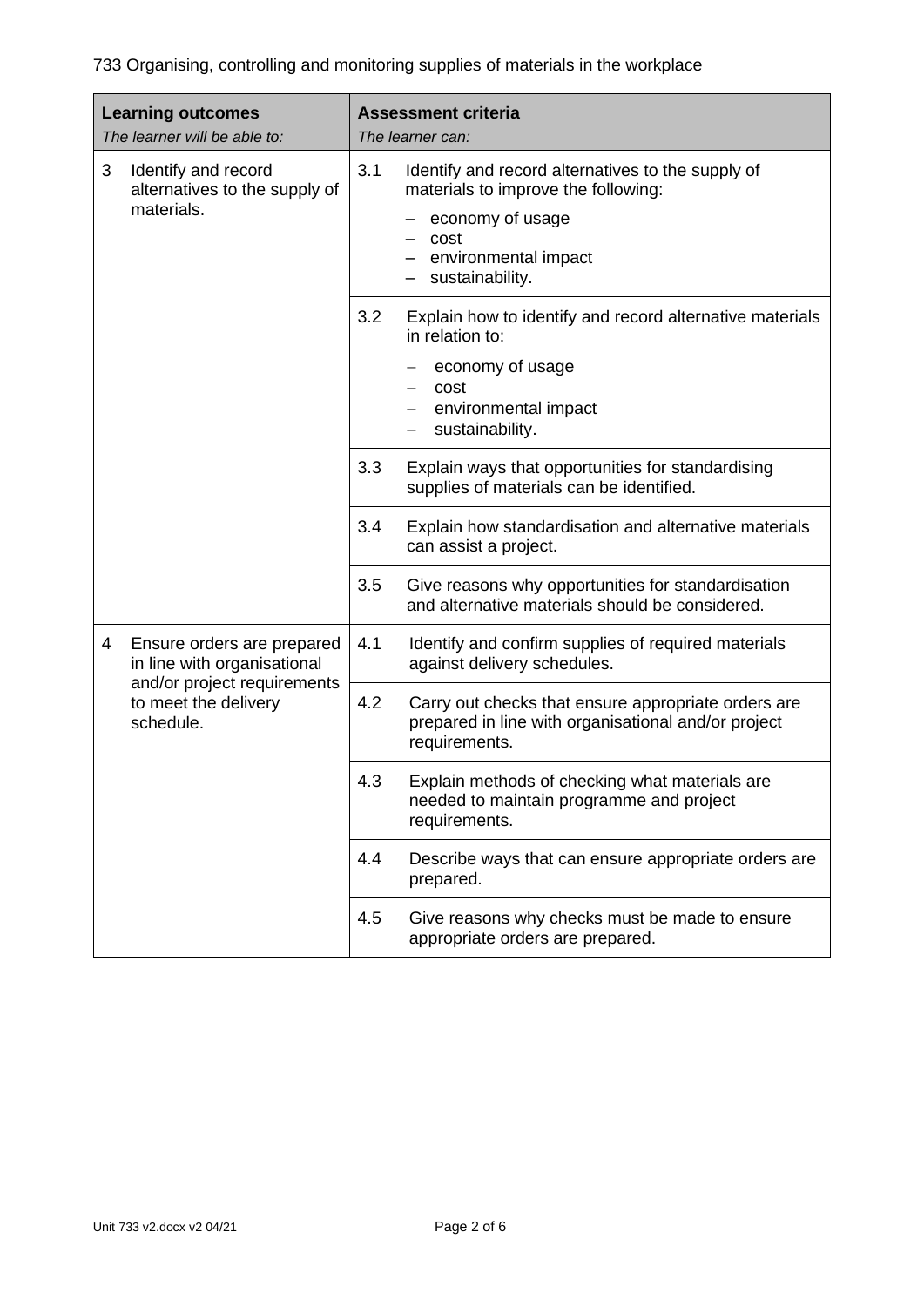| <b>Learning outcomes</b><br>The learner will be able to: |                                                           | <b>Assessment criteria</b><br>The learner can:                           |                                                                                                                                                                 |
|----------------------------------------------------------|-----------------------------------------------------------|--------------------------------------------------------------------------|-----------------------------------------------------------------------------------------------------------------------------------------------------------------|
| 3<br>Identify and record<br>materials.                   | alternatives to the supply of                             | 3.1                                                                      | Identify and record alternatives to the supply of<br>materials to improve the following:<br>economy of usage<br>cost<br>environmental impact<br>sustainability. |
|                                                          |                                                           | 3.2                                                                      | Explain how to identify and record alternative materials<br>in relation to:                                                                                     |
|                                                          |                                                           | economy of usage<br>cost<br>environmental impact<br>sustainability.<br>— |                                                                                                                                                                 |
|                                                          |                                                           | 3.3                                                                      | Explain ways that opportunities for standardising<br>supplies of materials can be identified.                                                                   |
|                                                          |                                                           | 3.4                                                                      | Explain how standardisation and alternative materials<br>can assist a project.                                                                                  |
|                                                          |                                                           | 3.5                                                                      | Give reasons why opportunities for standardisation<br>and alternative materials should be considered.                                                           |
| 4                                                        | Ensure orders are prepared<br>in line with organisational | 4.1                                                                      | Identify and confirm supplies of required materials<br>against delivery schedules.                                                                              |
| schedule.                                                | and/or project requirements<br>to meet the delivery       | 4.2                                                                      | Carry out checks that ensure appropriate orders are<br>prepared in line with organisational and/or project<br>requirements.                                     |
|                                                          |                                                           | 4.3                                                                      | Explain methods of checking what materials are<br>needed to maintain programme and project<br>requirements.                                                     |
|                                                          |                                                           | 4.4                                                                      | Describe ways that can ensure appropriate orders are<br>prepared.                                                                                               |
|                                                          |                                                           | 4.5                                                                      | Give reasons why checks must be made to ensure<br>appropriate orders are prepared.                                                                              |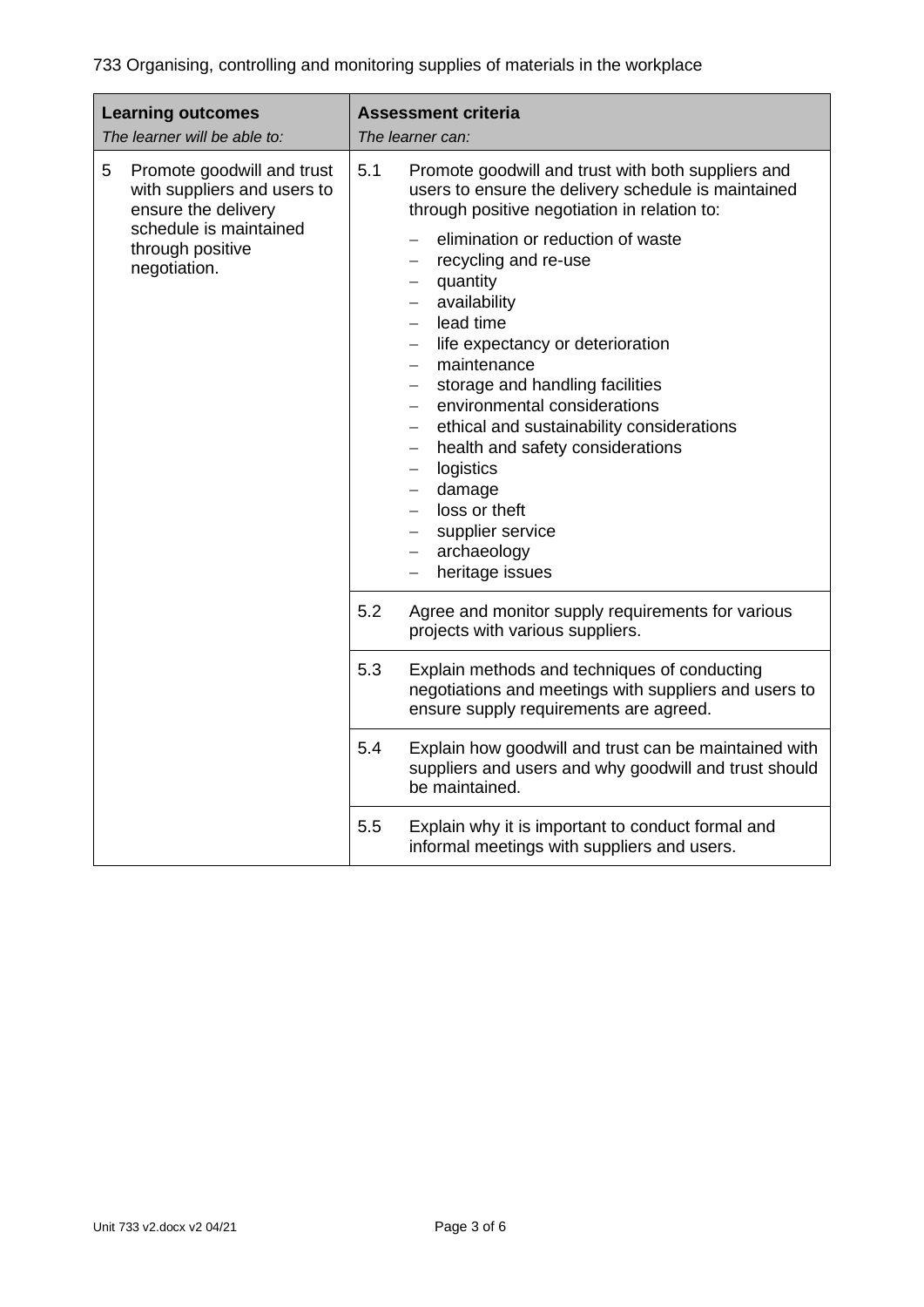| <b>Learning outcomes</b><br>The learner will be able to:                                                                                            | <b>Assessment criteria</b><br>The learner can:                                                                                                                                                                                                                                                                                                                                                                                                                                                                                                                                                                                                                                                                        |  |
|-----------------------------------------------------------------------------------------------------------------------------------------------------|-----------------------------------------------------------------------------------------------------------------------------------------------------------------------------------------------------------------------------------------------------------------------------------------------------------------------------------------------------------------------------------------------------------------------------------------------------------------------------------------------------------------------------------------------------------------------------------------------------------------------------------------------------------------------------------------------------------------------|--|
| 5<br>Promote goodwill and trust<br>with suppliers and users to<br>ensure the delivery<br>schedule is maintained<br>through positive<br>negotiation. | 5.1<br>Promote goodwill and trust with both suppliers and<br>users to ensure the delivery schedule is maintained<br>through positive negotiation in relation to:<br>elimination or reduction of waste<br>$\overline{\phantom{0}}$<br>recycling and re-use<br>$-$<br>quantity<br>availability<br>$-$<br>lead time<br>$\overline{\phantom{0}}$<br>life expectancy or deterioration<br>maintenance<br>storage and handling facilities<br>environmental considerations<br>ethical and sustainability considerations<br>health and safety considerations<br>$\overline{\phantom{0}}$<br>logistics<br>damage<br>loss or theft<br>$\equiv$<br>supplier service<br>archaeology<br>$\overline{\phantom{0}}$<br>heritage issues |  |
|                                                                                                                                                     | 5.2<br>Agree and monitor supply requirements for various<br>projects with various suppliers.                                                                                                                                                                                                                                                                                                                                                                                                                                                                                                                                                                                                                          |  |
|                                                                                                                                                     | 5.3<br>Explain methods and techniques of conducting<br>negotiations and meetings with suppliers and users to<br>ensure supply requirements are agreed.                                                                                                                                                                                                                                                                                                                                                                                                                                                                                                                                                                |  |
|                                                                                                                                                     | 5.4<br>Explain how goodwill and trust can be maintained with<br>suppliers and users and why goodwill and trust should<br>be maintained.                                                                                                                                                                                                                                                                                                                                                                                                                                                                                                                                                                               |  |
|                                                                                                                                                     | 5.5<br>Explain why it is important to conduct formal and<br>informal meetings with suppliers and users.                                                                                                                                                                                                                                                                                                                                                                                                                                                                                                                                                                                                               |  |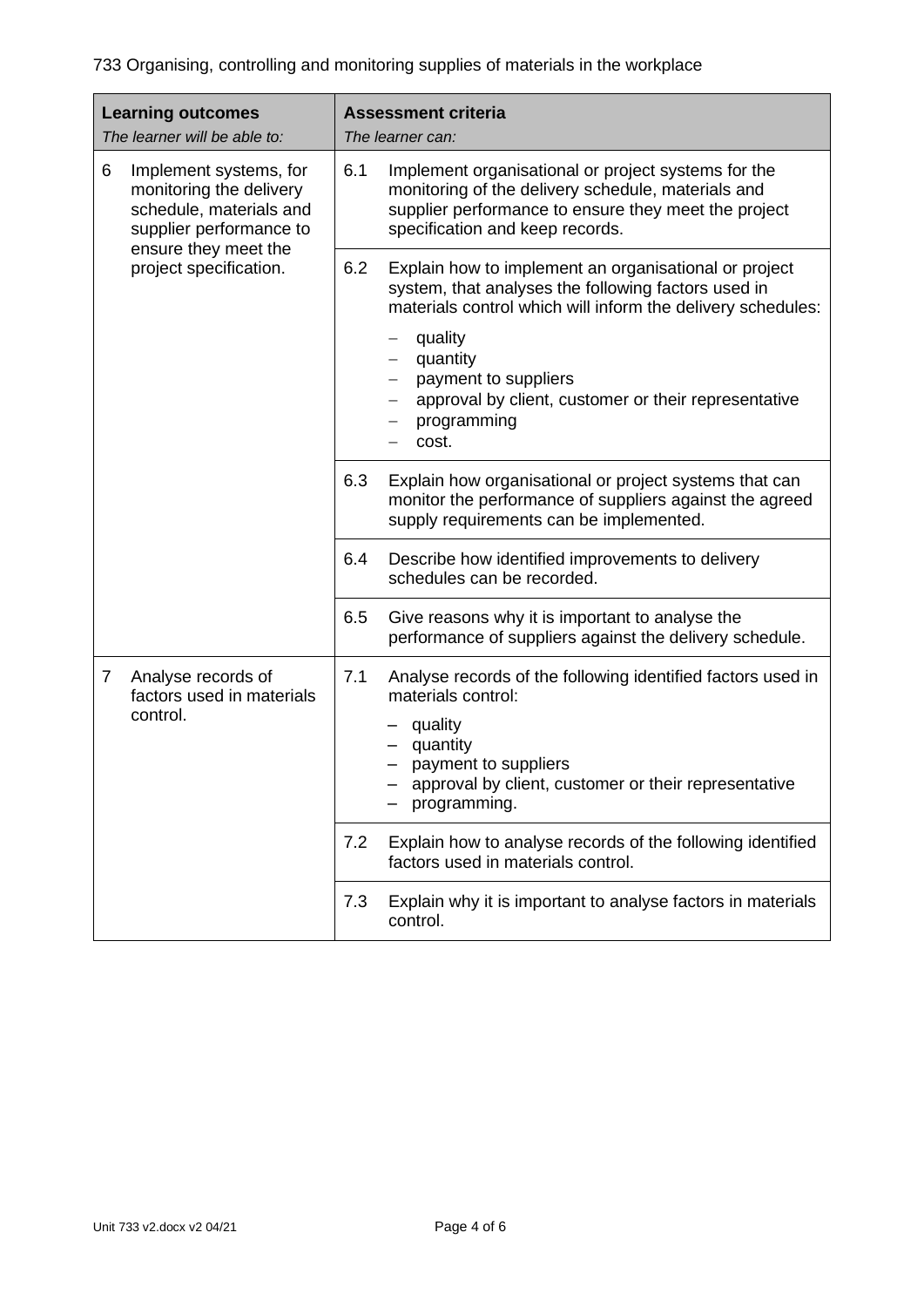| <b>Learning outcomes</b><br>The learner will be able to:                                                     | <b>Assessment criteria</b><br>The learner can:                                                                                                                                                              |  |
|--------------------------------------------------------------------------------------------------------------|-------------------------------------------------------------------------------------------------------------------------------------------------------------------------------------------------------------|--|
| Implement systems, for<br>6<br>monitoring the delivery<br>schedule, materials and<br>supplier performance to | 6.1<br>Implement organisational or project systems for the<br>monitoring of the delivery schedule, materials and<br>supplier performance to ensure they meet the project<br>specification and keep records. |  |
| ensure they meet the<br>project specification.                                                               | 6.2<br>Explain how to implement an organisational or project<br>system, that analyses the following factors used in<br>materials control which will inform the delivery schedules:                          |  |
|                                                                                                              | quality<br>$\qquad \qquad -$<br>quantity<br>payment to suppliers<br>$\qquad \qquad -$<br>approval by client, customer or their representative<br>programming<br>—<br>cost.                                  |  |
|                                                                                                              | 6.3<br>Explain how organisational or project systems that can<br>monitor the performance of suppliers against the agreed<br>supply requirements can be implemented.                                         |  |
|                                                                                                              | 6.4<br>Describe how identified improvements to delivery<br>schedules can be recorded.                                                                                                                       |  |
|                                                                                                              | Give reasons why it is important to analyse the<br>6.5<br>performance of suppliers against the delivery schedule.                                                                                           |  |
| $\overline{7}$<br>Analyse records of<br>factors used in materials<br>control.                                | 7.1<br>Analyse records of the following identified factors used in<br>materials control:<br>quality<br>quantity<br>payment to suppliers<br>approval by client, customer or their representative             |  |
|                                                                                                              | programming.                                                                                                                                                                                                |  |
|                                                                                                              | 7.2<br>Explain how to analyse records of the following identified<br>factors used in materials control.                                                                                                     |  |
|                                                                                                              | Explain why it is important to analyse factors in materials<br>7.3<br>control.                                                                                                                              |  |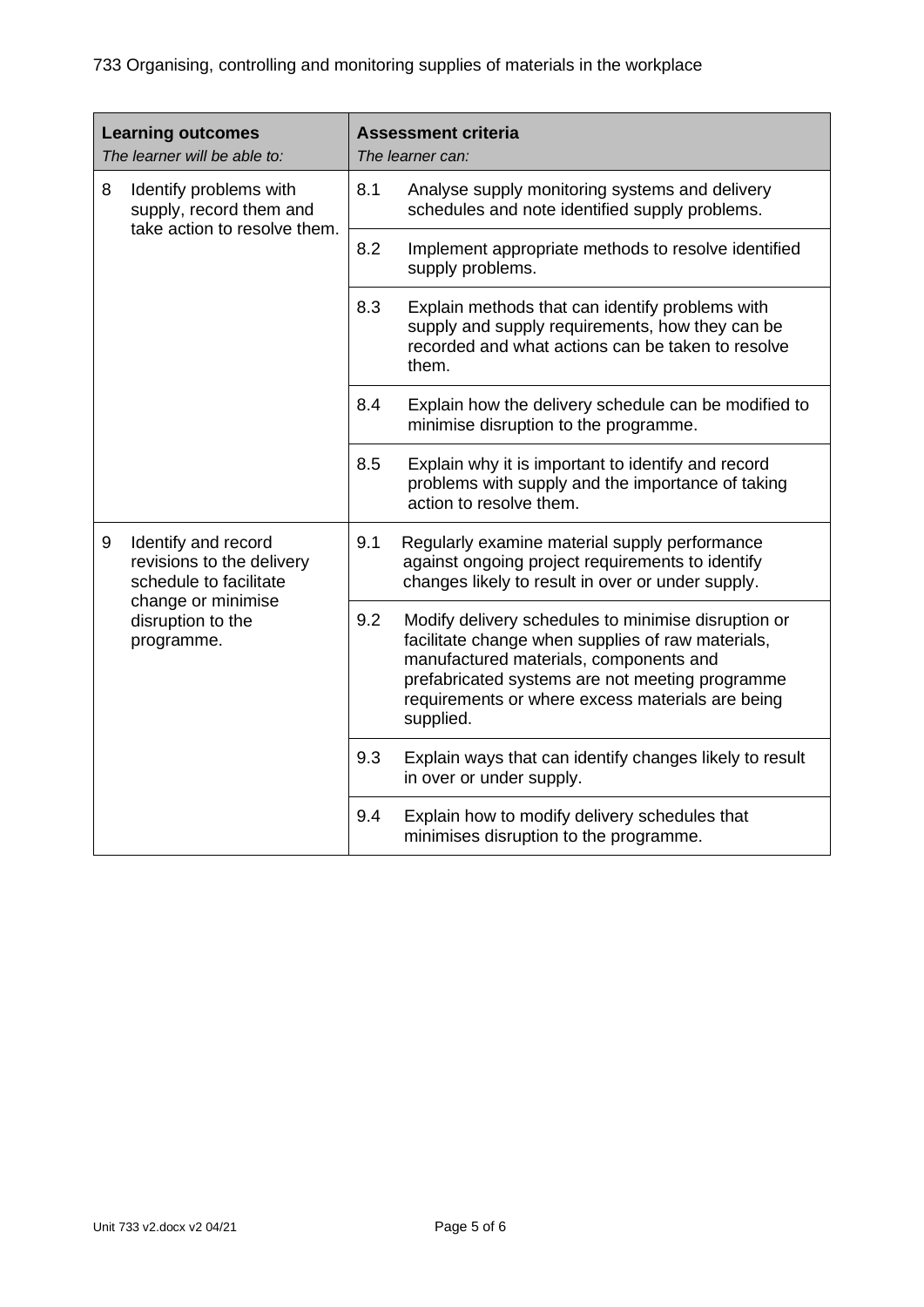| <b>Learning outcomes</b><br>The learner will be able to:                               |     | <b>Assessment criteria</b><br>The learner can:                                                                                                                                                                                                                         |  |
|----------------------------------------------------------------------------------------|-----|------------------------------------------------------------------------------------------------------------------------------------------------------------------------------------------------------------------------------------------------------------------------|--|
| Identify problems with<br>8<br>supply, record them and<br>take action to resolve them. | 8.1 | Analyse supply monitoring systems and delivery<br>schedules and note identified supply problems.                                                                                                                                                                       |  |
|                                                                                        | 8.2 | Implement appropriate methods to resolve identified<br>supply problems.                                                                                                                                                                                                |  |
|                                                                                        | 8.3 | Explain methods that can identify problems with<br>supply and supply requirements, how they can be<br>recorded and what actions can be taken to resolve<br>them.                                                                                                       |  |
|                                                                                        | 8.4 | Explain how the delivery schedule can be modified to<br>minimise disruption to the programme.                                                                                                                                                                          |  |
|                                                                                        | 8.5 | Explain why it is important to identify and record<br>problems with supply and the importance of taking<br>action to resolve them.                                                                                                                                     |  |
| Identify and record<br>9<br>revisions to the delivery<br>schedule to facilitate        | 9.1 | Regularly examine material supply performance<br>against ongoing project requirements to identify<br>changes likely to result in over or under supply.                                                                                                                 |  |
| change or minimise<br>disruption to the<br>programme.                                  | 9.2 | Modify delivery schedules to minimise disruption or<br>facilitate change when supplies of raw materials,<br>manufactured materials, components and<br>prefabricated systems are not meeting programme<br>requirements or where excess materials are being<br>supplied. |  |
|                                                                                        | 9.3 | Explain ways that can identify changes likely to result<br>in over or under supply.                                                                                                                                                                                    |  |
|                                                                                        | 9.4 | Explain how to modify delivery schedules that<br>minimises disruption to the programme.                                                                                                                                                                                |  |